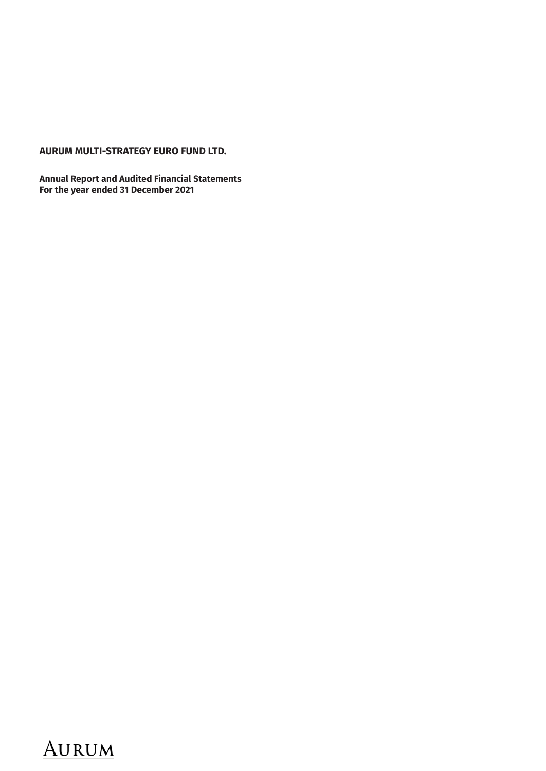# **AURUM MULTI-STRATEGY EURO FUND LTD.**

**Annual Report and Audited Financial Statements For the year ended 31 December 2021**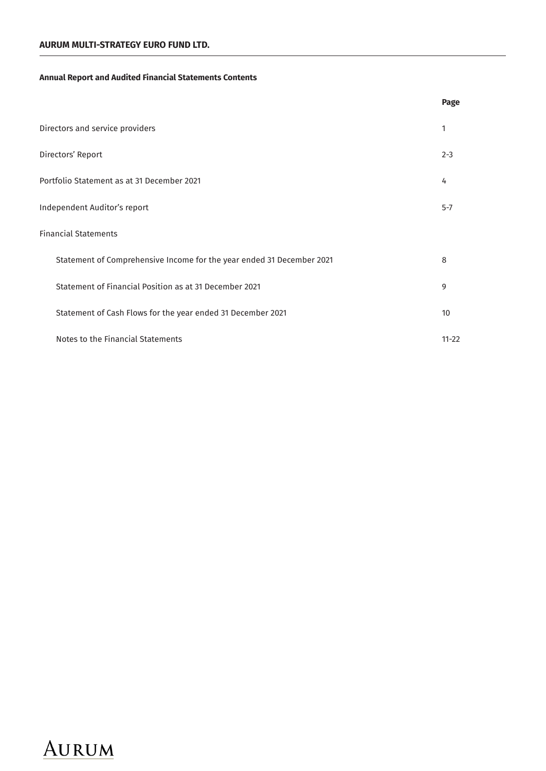# **Annual Report and Audited Financial Statements Contents**

|                                                                       | Page      |
|-----------------------------------------------------------------------|-----------|
| Directors and service providers                                       | 1         |
| Directors' Report                                                     | $2 - 3$   |
| Portfolio Statement as at 31 December 2021                            | 4         |
| Independent Auditor's report                                          | $5 - 7$   |
| <b>Financial Statements</b>                                           |           |
| Statement of Comprehensive Income for the year ended 31 December 2021 | 8         |
| Statement of Financial Position as at 31 December 2021                | 9         |
| Statement of Cash Flows for the year ended 31 December 2021           | 10        |
| Notes to the Financial Statements                                     | $11 - 22$ |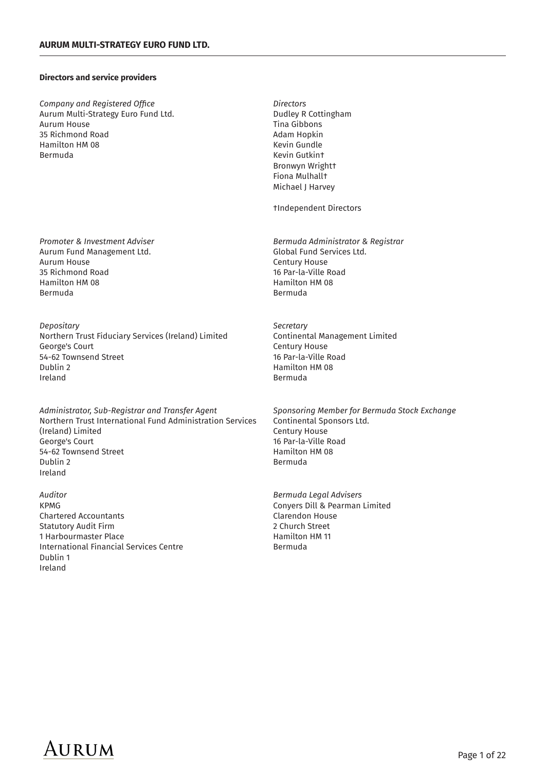# <span id="page-2-0"></span>**Directors and service providers**

*Company and Registered Office Directors* Aurum Multi-Strategy Euro Fund Ltd. **Dudley R Cottingham** Aurum House<br>
35 Richmond Road<br>
25 Richmond Road<br>
26 November 2012<br>
27 November 2013<br>
28 November 2013<br>
28 November 2013<br>
28 November 2013<br>
29 November 2013 35 Richmond Road and a series of the Adam Hopkin Adam Hopkin Adam Hopkin<br>
Hamilton HM 08 Hamilton HM 08<br>Bermuda

Aurum Fund Management Ltd. Global Fund Services Ltd. Aurum House **Century House** 35 Richmond Road 16 Par-la-Ville Road Hamilton HM 08 Hamilton HM 08 Bermuda Bermuda

*Depositary Secretary* Northern Trust Fiduciary Services (Ireland) Limited George's Court **Century House** 54-62 Townsend Street 16 Par-la-Ville Road<br>Dublin 2 Par-la-Ville Road Dublin 2 Ireland Bermuda Bermuda

*Administrator, Sub-Registrar and Transfer Agent Sponsoring Member for Bermuda Stock Exchange* Northern Trust International Fund Administration Services Continental Sponsors Ltd. (Ireland) Limited Century House George's Court **16 Par-la-Ville Road** 54-62 Townsend Street **Hamilton HM 08** Dublin 2 **Bermuda** Ireland

*Auditor Bermuda Legal Advisers* KPMG **Convers Dill & Pearman Limited** Convers Dill & Pearman Limited Chartered Accountants **Clarendon House** Statutory Audit Firm 2 Church Street 1 Harbourmaster Place Hamilton HM 11 International Financial Services Centre **Bermuda** Bermuda Dublin 1 Ireland

Kevin Gutkint Bronwyn Wright† Fiona Mulhall† Michael J Harvey

†Independent Directors

*Promoter & Investment Adviser Bermuda Administrator & Registrar*

Hamilton HM 08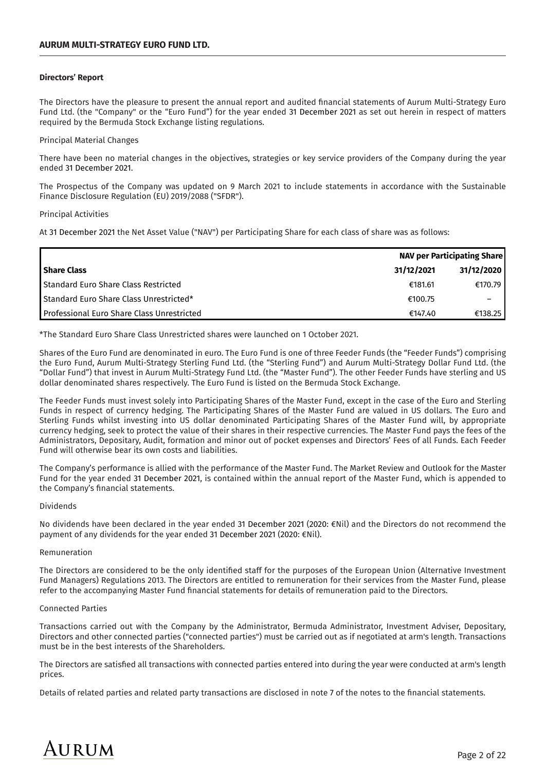# <span id="page-3-0"></span>**Directors' Report**

The Directors have the pleasure to present the annual report and audited financial statements of Aurum Multi-Strategy Euro Fund Ltd. (the "Company" or the "Euro Fund") for the year ended 31 December 2021 as set out herein in respect of matters required by the Bermuda Stock Exchange listing regulations.

# Principal Material Changes

There have been no material changes in the objectives, strategies or key service providers of the Company during the year ended 31 December 2021.

The Prospectus of the Company was updated on 9 March 2021 to include statements in accordance with the Sustainable Finance Disclosure Regulation (EU) 2019/2088 ("SFDR").

### Principal Activities

At 31 December 2021 the Net Asset Value ("NAV") per Participating Share for each class of share was as follows:

|                                            | <b>NAV per Participating Share</b> |            |  |
|--------------------------------------------|------------------------------------|------------|--|
| <b>Share Class</b>                         | 31/12/2021                         | 31/12/2020 |  |
| l Standard Euro Share Class Restricted     | €181.61                            | €170.79    |  |
| Standard Euro Share Class Unrestricted*    | €100.75                            |            |  |
| Professional Euro Share Class Unrestricted | €147.40                            | €138.25 l  |  |

\*The Standard Euro Share Class Unrestricted shares were launched on 1 October 2021.

Shares of the Euro Fund are denominated in euro. The Euro Fund is one of three Feeder Funds (the "Feeder Funds") comprising the Euro Fund, Aurum Multi-Strategy Sterling Fund Ltd. (the "Sterling Fund") and Aurum Multi-Strategy Dollar Fund Ltd. (the "Dollar Fund") that invest in Aurum Multi-Strategy Fund Ltd. (the "Master Fund"). The other Feeder Funds have sterling and US dollar denominated shares respectively. The Euro Fund is listed on the Bermuda Stock Exchange.

The Feeder Funds must invest solely into Participating Shares of the Master Fund, except in the case of the Euro and Sterling Funds in respect of currency hedging. The Participating Shares of the Master Fund are valued in US dollars. The Euro and Sterling Funds whilst investing into US dollar denominated Participating Shares of the Master Fund will, by appropriate currency hedging, seek to protect the value of their shares in their respective currencies. The Master Fund pays the fees of the Administrators, Depositary, Audit, formation and minor out of pocket expenses and Directors' Fees of all Funds. Each Feeder Fund will otherwise bear its own costs and liabilities.

The Company's performance is allied with the performance of the Master Fund. The Market Review and Outlook for the Master Fund for the year ended 31 December 2021, is contained within the annual report of the Master Fund, which is appended to the Company's financial statements.

# Dividends

No dividends have been declared in the year ended 31 December 2021 (2020: €Nil) and the Directors do not recommend the payment of any dividends for the year ended 31 December 2021 (2020: €Nil).

# Remuneration

The Directors are considered to be the only identified staff for the purposes of the European Union (Alternative Investment Fund Managers) Regulations 2013. The Directors are entitled to remuneration for their services from the Master Fund, please refer to the accompanying Master Fund financial statements for details of remuneration paid to the Directors.

#### Connected Parties

Transactions carried out with the Company by the Administrator, Bermuda Administrator, Investment Adviser, Depositary, Directors and other connected parties ("connected parties") must be carried out as if negotiated at arm's length. Transactions must be in the best interests of the Shareholders.

The Directors are satisfied all transactions with connected parties entered into during the year were conducted at arm's length prices.

Details of related parties and related party transactions are disclosed in note 7 of the notes to the financial statements.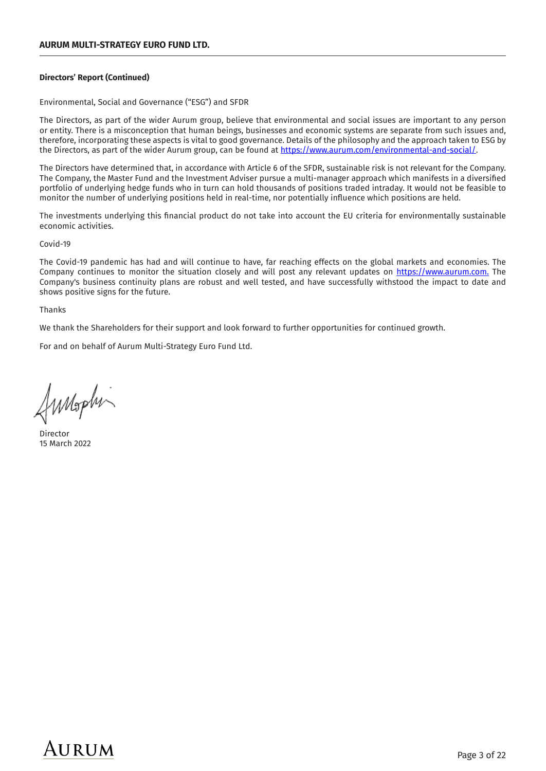# **Directors' Report (Continued)**

Environmental, Social and Governance ("ESG") and SFDR

The Directors, as part of the wider Aurum group, believe that environmental and social issues are important to any person or entity. There is a misconception that human beings, businesses and economic systems are separate from such issues and, therefore, incorporating these aspects is vital to good governance. Details of the philosophy and the approach taken to ESG by the Directors, as part of the wider Aurum group, can be found at https://www.aurum.com/environmental-and-social/.

The Directors have determined that, in accordance with Article 6 of the SFDR, sustainable risk is not relevant for the Company. The Company, the Master Fund and the Investment Adviser pursue a multi-manager approach which manifests in a diversified portfolio of underlying hedge funds who in turn can hold thousands of positions traded intraday. It would not be feasible to monitor the number of underlying positions held in real-time, nor potentially influence which positions are held.

The investments underlying this financial product do not take into account the EU criteria for environmentally sustainable economic activities.

# Covid-19

The Covid-19 pandemic has had and will continue to have, far reaching effects on the global markets and economies. The Company continues to monitor the situation closely and will post any relevant updates on https://www.aurum.com. The Company's business continuity plans are robust and well tested, and have successfully withstood the impact to date and shows positive signs for the future.

# Thanks

We thank the Shareholders for their support and look forward to further opportunities for continued growth.

For and on behalf of Aurum Multi-Strategy Euro Fund Ltd.

Annophi

Director 15 March 2022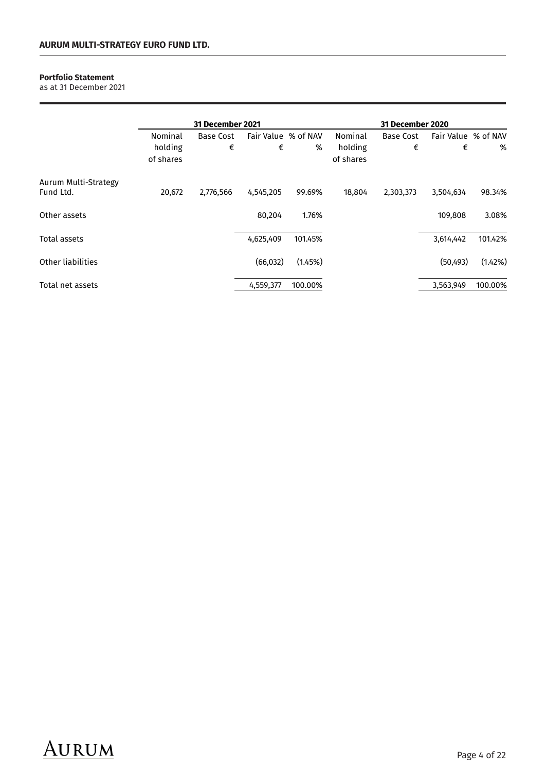# <span id="page-5-0"></span>**Portfolio Statement**

as at 31 December 2021

|                                   |                      | <b>31 December 2021</b> |                     |         | <b>31 December 2020</b> |                  |                     |         |
|-----------------------------------|----------------------|-------------------------|---------------------|---------|-------------------------|------------------|---------------------|---------|
|                                   | Nominal              | <b>Base Cost</b>        | Fair Value % of NAV |         | Nominal                 | <b>Base Cost</b> | Fair Value % of NAV |         |
|                                   | holding<br>of shares | €                       | €                   | %       | holding<br>of shares    | €                | €                   | %       |
| Aurum Multi-Strategy<br>Fund Ltd. | 20,672               | 2,776,566               | 4,545,205           | 99.69%  | 18,804                  | 2,303,373        | 3,504,634           | 98.34%  |
| Other assets                      |                      |                         | 80,204              | 1.76%   |                         |                  | 109,808             | 3.08%   |
| Total assets                      |                      |                         | 4,625,409           | 101.45% |                         |                  | 3,614,442           | 101.42% |
| Other liabilities                 |                      |                         | (66, 032)           | (1.45%) |                         |                  | (50, 493)           | (1.42%) |
| Total net assets                  |                      |                         | 4,559,377           | 100.00% |                         |                  | 3,563,949           | 100.00% |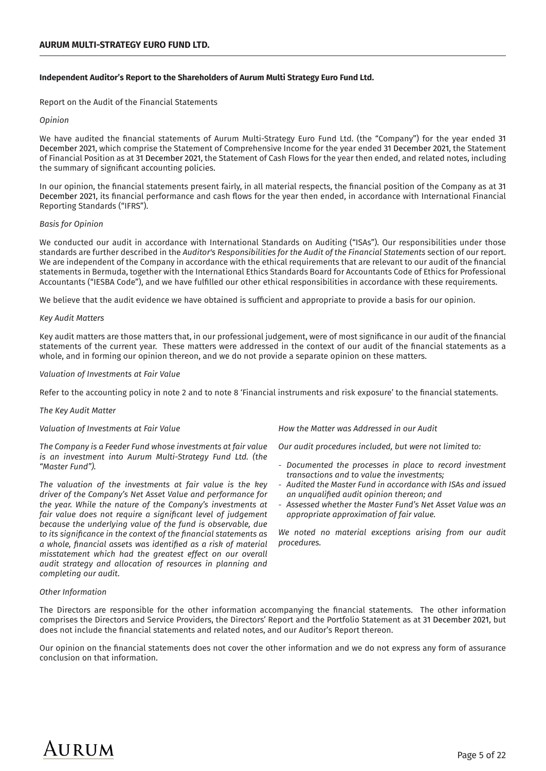# <span id="page-6-0"></span>**Independent Auditor's Report to the Shareholders of Aurum Multi Strategy Euro Fund Ltd.**

Report on the Audit of the Financial Statements

# *Opinion*

We have audited the financial statements of Aurum Multi-Strategy Euro Fund Ltd. (the "Company") for the year ended 31 December 2021, which comprise the Statement of Comprehensive Income for the year ended 31 December 2021, the Statement of Financial Position as at 31 December 2021, the Statement of Cash Flows for the year then ended, and related notes, including the summary of significant accounting policies.

In our opinion, the financial statements present fairly, in all material respects, the financial position of the Company as at 31 December 2021, its financial performance and cash flows for the year then ended, in accordance with International Financial Reporting Standards ("IFRS").

# *Basis for Opinion*

We conducted our audit in accordance with International Standards on Auditing ("ISAs"). Our responsibilities under those standards are further described in the *Auditor's Responsibilities for the Audit of the Financial Statements* section of our report. We are independent of the Company in accordance with the ethical requirements that are relevant to our audit of the financial statements in Bermuda, together with the International Ethics Standards Board for Accountants Code of Ethics for Professional Accountants ("IESBA Code"), and we have fulfilled our other ethical responsibilities in accordance with these requirements.

We believe that the audit evidence we have obtained is sufficient and appropriate to provide a basis for our opinion.

# *Key Audit Matters*

Key audit matters are those matters that, in our professional judgement, were of most significance in our audit of the financial statements of the current year. These matters were addressed in the context of our audit of the financial statements as a whole, and in forming our opinion thereon, and we do not provide a separate opinion on these matters.

# *Valuation of Investments at Fair Value*

Refer to the accounting policy in note 2 and to note 8 'Financial instruments and risk exposure' to the financial statements.

# *The Key Audit Matter*

# *Valuation of Investments at Fair Value*

*The Company is a Feeder Fund whose investments at fair value is an investment into Aurum Multi-Strategy Fund Ltd. (the "Master Fund").*

*The valuation of the investments at fair value is the key driver of the Company's Net Asset Value and performance for the year. While the nature of the Company's investments at fair value does not require a significant level of judgement because the underlying value of the fund is observable, due to its significance in the context of the financial statements as a whole, financial assets was identified as a risk of material misstatement which had the greatest effect on our overall audit strategy and allocation of resources in planning and completing our audit*.

*How the Matter was Addressed in our Audit* 

*Our audit procedures included, but were not limited to:*

- *- Documented the processes in place to record investment transactions and to value the investments;*
- *- Audited the Master Fund in accordance with ISAs and issued an unqualified audit opinion thereon; and*
- *- Assessed whether the Master Fund's Net Asset Value was an appropriate approximation of fair value.*

*We noted no material exceptions arising from our audit procedures.* 

# *Other Information*

The Directors are responsible for the other information accompanying the financial statements. The other information comprises the Directors and Service Providers, the Directors' Report and the Portfolio Statement as at 31 December 2021, but does not include the financial statements and related notes, and our Auditor's Report thereon.

Our opinion on the financial statements does not cover the other information and we do not express any form of assurance conclusion on that information.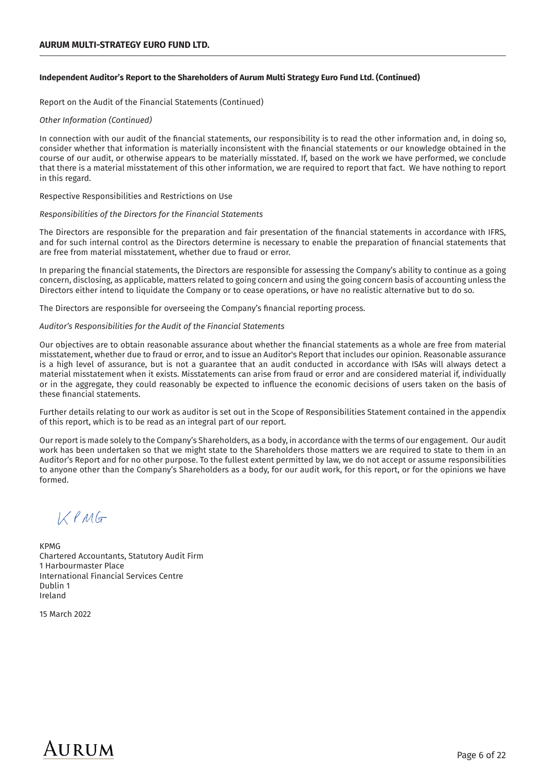# **Independent Auditor's Report to the Shareholders of Aurum Multi Strategy Euro Fund Ltd. (Continued)**

Report on the Audit of the Financial Statements (Continued)

# *Other Information (Continued)*

In connection with our audit of the financial statements, our responsibility is to read the other information and, in doing so, consider whether that information is materially inconsistent with the financial statements or our knowledge obtained in the course of our audit, or otherwise appears to be materially misstated. If, based on the work we have performed, we conclude that there is a material misstatement of this other information, we are required to report that fact. We have nothing to report in this regard.

Respective Responsibilities and Restrictions on Use

# *Responsibilities of the Directors for the Financial Statements*

The Directors are responsible for the preparation and fair presentation of the financial statements in accordance with IFRS, and for such internal control as the Directors determine is necessary to enable the preparation of financial statements that are free from material misstatement, whether due to fraud or error.

In preparing the financial statements, the Directors are responsible for assessing the Company's ability to continue as a going concern, disclosing, as applicable, matters related to going concern and using the going concern basis of accounting unless the Directors either intend to liquidate the Company or to cease operations, or have no realistic alternative but to do so.

The Directors are responsible for overseeing the Company's financial reporting process.

# *Auditor's Responsibilities for the Audit of the Financial Statements*

Our objectives are to obtain reasonable assurance about whether the financial statements as a whole are free from material misstatement, whether due to fraud or error, and to issue an Auditor's Report that includes our opinion. Reasonable assurance is a high level of assurance, but is not a guarantee that an audit conducted in accordance with ISAs will always detect a material misstatement when it exists. Misstatements can arise from fraud or error and are considered material if, individually or in the aggregate, they could reasonably be expected to influence the economic decisions of users taken on the basis of these financial statements.

Further details relating to our work as auditor is set out in the Scope of Responsibilities Statement contained in the appendix of this report, which is to be read as an integral part of our report.

Our report is made solely to the Company's Shareholders, as a body, in accordance with the terms of our engagement. Our audit work has been undertaken so that we might state to the Shareholders those matters we are required to state to them in an Auditor's Report and for no other purpose. To the fullest extent permitted by law, we do not accept or assume responsibilities to anyone other than the Company's Shareholders as a body, for our audit work, for this report, or for the opinions we have formed.

 $12$   $9$   $M$   $G$ 

KPMG Chartered Accountants, Statutory Audit Firm 1 Harbourmaster Place International Financial Services Centre Dublin 1 Ireland

15 March 2022

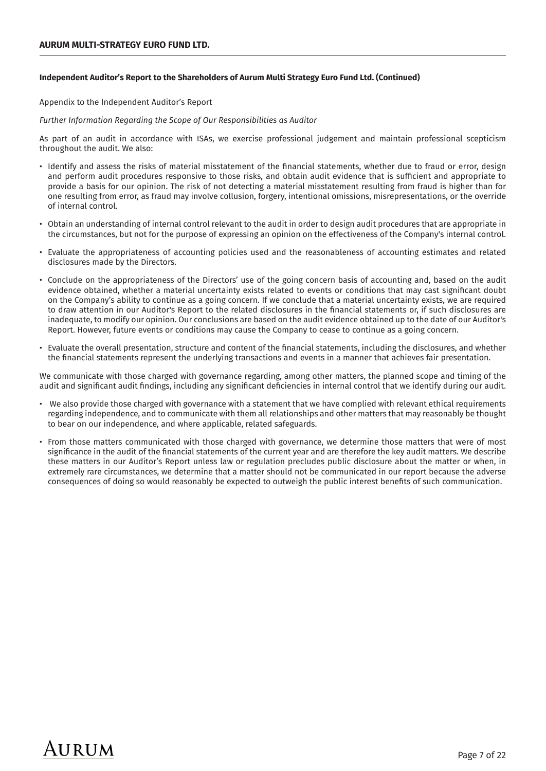# **Independent Auditor's Report to the Shareholders of Aurum Multi Strategy Euro Fund Ltd. (Continued)**

Appendix to the Independent Auditor's Report

*Further Information Regarding the Scope of Our Responsibilities as Auditor* 

As part of an audit in accordance with ISAs, we exercise professional judgement and maintain professional scepticism throughout the audit. We also:

- Identify and assess the risks of material misstatement of the financial statements, whether due to fraud or error, design and perform audit procedures responsive to those risks, and obtain audit evidence that is sufficient and appropriate to provide a basis for our opinion. The risk of not detecting a material misstatement resulting from fraud is higher than for one resulting from error, as fraud may involve collusion, forgery, intentional omissions, misrepresentations, or the override of internal control.
- Obtain an understanding of internal control relevant to the audit in order to design audit procedures that are appropriate in the circumstances, but not for the purpose of expressing an opinion on the effectiveness of the Company's internal control.
- Evaluate the appropriateness of accounting policies used and the reasonableness of accounting estimates and related disclosures made by the Directors.
- Conclude on the appropriateness of the Directors' use of the going concern basis of accounting and, based on the audit evidence obtained, whether a material uncertainty exists related to events or conditions that may cast significant doubt on the Company's ability to continue as a going concern. If we conclude that a material uncertainty exists, we are required to draw attention in our Auditor's Report to the related disclosures in the financial statements or, if such disclosures are inadequate, to modify our opinion. Our conclusions are based on the audit evidence obtained up to the date of our Auditor's Report. However, future events or conditions may cause the Company to cease to continue as a going concern.
- Evaluate the overall presentation, structure and content of the financial statements, including the disclosures, and whether the financial statements represent the underlying transactions and events in a manner that achieves fair presentation.

We communicate with those charged with governance regarding, among other matters, the planned scope and timing of the audit and significant audit findings, including any significant deficiencies in internal control that we identify during our audit.

- We also provide those charged with governance with a statement that we have complied with relevant ethical requirements regarding independence, and to communicate with them all relationships and other matters that may reasonably be thought to bear on our independence, and where applicable, related safeguards.
- From those matters communicated with those charged with governance, we determine those matters that were of most significance in the audit of the financial statements of the current year and are therefore the key audit matters. We describe these matters in our Auditor's Report unless law or regulation precludes public disclosure about the matter or when, in extremely rare circumstances, we determine that a matter should not be communicated in our report because the adverse consequences of doing so would reasonably be expected to outweigh the public interest benefits of such communication.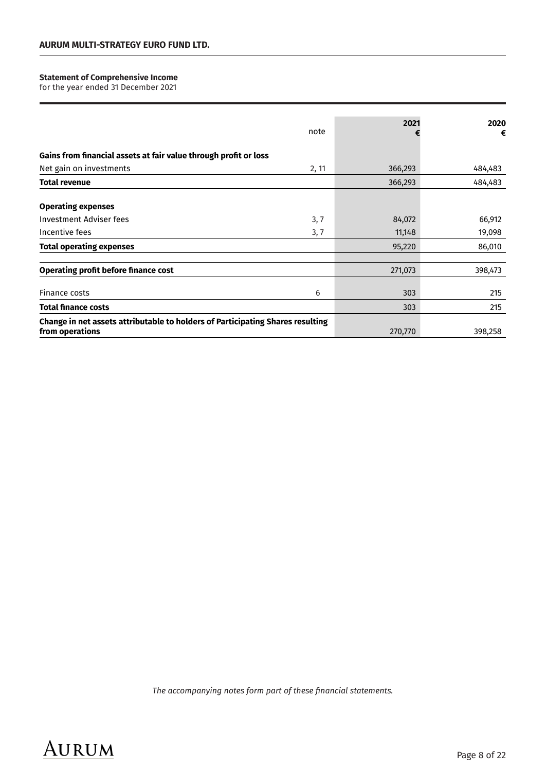# <span id="page-9-0"></span>**Statement of Comprehensive Income**

for the year ended 31 December 2021

|                                                                                                   | note  | 2021    | 2020<br>€ |
|---------------------------------------------------------------------------------------------------|-------|---------|-----------|
|                                                                                                   |       |         |           |
| Gains from financial assets at fair value through profit or loss                                  |       |         |           |
| Net gain on investments                                                                           | 2, 11 | 366,293 | 484,483   |
| <b>Total revenue</b>                                                                              |       | 366,293 | 484,483   |
| <b>Operating expenses</b>                                                                         |       |         |           |
| <b>Investment Adviser fees</b>                                                                    | 3, 7  | 84,072  | 66,912    |
| Incentive fees                                                                                    | 3, 7  | 11,148  | 19,098    |
| <b>Total operating expenses</b>                                                                   |       | 95,220  | 86,010    |
| <b>Operating profit before finance cost</b>                                                       |       | 271,073 | 398,473   |
| Finance costs                                                                                     | 6     | 303     | 215       |
| <b>Total finance costs</b>                                                                        |       | 303     | 215       |
| Change in net assets attributable to holders of Participating Shares resulting<br>from operations |       | 270,770 | 398,258   |

*The accompanying notes form part of these financial statements.*

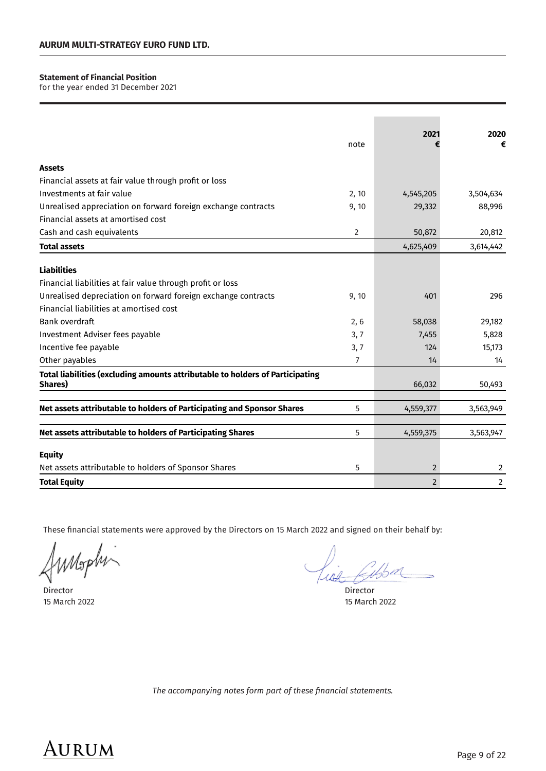# <span id="page-10-0"></span>**Statement of Financial Position**

for the year ended 31 December 2021

|                                                                               | note  | 2021           | 2020<br>€      |
|-------------------------------------------------------------------------------|-------|----------------|----------------|
|                                                                               |       |                |                |
| <b>Assets</b>                                                                 |       |                |                |
| Financial assets at fair value through profit or loss                         |       |                |                |
| Investments at fair value                                                     | 2, 10 | 4,545,205      | 3,504,634      |
| Unrealised appreciation on forward foreign exchange contracts                 | 9, 10 | 29,332         | 88,996         |
| Financial assets at amortised cost                                            |       |                |                |
| Cash and cash equivalents                                                     | 2     | 50,872         | 20,812         |
| <b>Total assets</b>                                                           |       | 4,625,409      | 3,614,442      |
|                                                                               |       |                |                |
| <b>Liabilities</b>                                                            |       |                |                |
| Financial liabilities at fair value through profit or loss                    |       |                |                |
| Unrealised depreciation on forward foreign exchange contracts                 | 9, 10 | 401            | 296            |
| Financial liabilities at amortised cost                                       |       |                |                |
| Bank overdraft                                                                | 2, 6  | 58,038         | 29,182         |
| Investment Adviser fees payable                                               | 3, 7  | 7,455          | 5,828          |
| Incentive fee payable                                                         | 3, 7  | 124            | 15,173         |
| Other payables                                                                | 7     | 14             | 14             |
| Total liabilities (excluding amounts attributable to holders of Participating |       |                |                |
| Shares)                                                                       |       | 66,032         | 50,493         |
| Net assets attributable to holders of Participating and Sponsor Shares        | 5     | 4,559,377      | 3,563,949      |
|                                                                               |       |                |                |
| Net assets attributable to holders of Participating Shares                    | 5     | 4,559,375      | 3,563,947      |
| <b>Equity</b>                                                                 |       |                |                |
| Net assets attributable to holders of Sponsor Shares                          | 5     | 2              | 2              |
| <b>Total Equity</b>                                                           |       | $\overline{2}$ | $\overline{2}$ |

These financial statements were approved by the Directors on 15 March 2022 and signed on their behalf by:

Mophi

Director Director 15 March 2022 15 March 2022

f.

*The accompanying notes form part of these financial statements.*

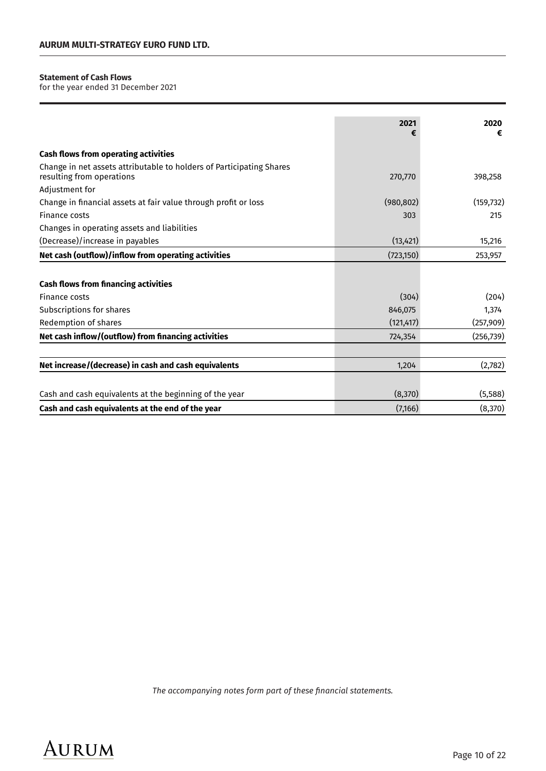# <span id="page-11-0"></span>**Statement of Cash Flows**

for the year ended 31 December 2021

|                                                                                                   | 2021       | 2020<br>€  |
|---------------------------------------------------------------------------------------------------|------------|------------|
| <b>Cash flows from operating activities</b>                                                       |            |            |
| Change in net assets attributable to holders of Participating Shares<br>resulting from operations | 270,770    | 398,258    |
| Adjustment for                                                                                    |            |            |
| Change in financial assets at fair value through profit or loss                                   | (980, 802) | (159, 732) |
| Finance costs                                                                                     | 303        | 215        |
| Changes in operating assets and liabilities                                                       |            |            |
| (Decrease)/increase in payables                                                                   | (13, 421)  | 15,216     |
| Net cash (outflow)/inflow from operating activities                                               | (723, 150) | 253,957    |
| <b>Cash flows from financing activities</b>                                                       |            |            |
| Finance costs                                                                                     | (304)      | (204)      |
| Subscriptions for shares                                                                          | 846,075    | 1,374      |
| <b>Redemption of shares</b>                                                                       | (121, 417) | (257,909)  |
| Net cash inflow/(outflow) from financing activities                                               | 724,354    | (256, 739) |
|                                                                                                   |            |            |
| Net increase/(decrease) in cash and cash equivalents                                              | 1,204      | (2,782)    |
|                                                                                                   |            |            |
| Cash and cash equivalents at the beginning of the year                                            | (8,370)    | (5, 588)   |
| Cash and cash equivalents at the end of the year                                                  | (7,166)    | (8,370)    |

*The accompanying notes form part of these financial statements.*

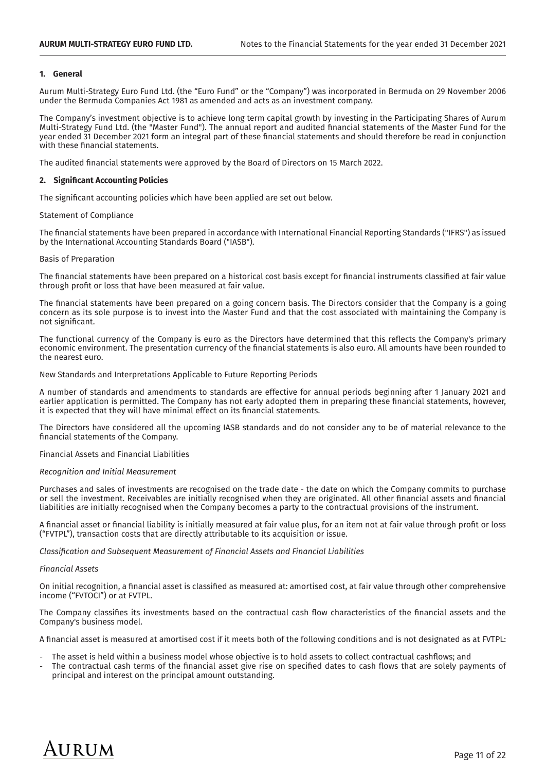#### <span id="page-12-0"></span>**1. General**

Aurum Multi-Strategy Euro Fund Ltd. (the "Euro Fund" or the "Company") was incorporated in Bermuda on 29 November 2006 under the Bermuda Companies Act 1981 as amended and acts as an investment company.

The Company's investment objective is to achieve long term capital growth by investing in the Participating Shares of Aurum Multi-Strategy Fund Ltd. (the "Master Fund"). The annual report and audited financial statements of the Master Fund for the year ended 31 December 2021 form an integral part of these financial statements and should therefore be read in conjunction with these financial statements.

The audited financial statements were approved by the Board of Directors on 15 March 2022.

#### **2. Significant Accounting Policies**

The significant accounting policies which have been applied are set out below.

#### Statement of Compliance

The financial statements have been prepared in accordance with International Financial Reporting Standards ("IFRS") as issued by the International Accounting Standards Board ("IASB").

#### Basis of Preparation

The financial statements have been prepared on a historical cost basis except for financial instruments classified at fair value through profit or loss that have been measured at fair value.

The financial statements have been prepared on a going concern basis. The Directors consider that the Company is a going concern as its sole purpose is to invest into the Master Fund and that the cost associated with maintaining the Company is not significant.

The functional currency of the Company is euro as the Directors have determined that this reflects the Company's primary economic environment. The presentation currency of the financial statements is also euro. All amounts have been rounded to the nearest euro.

New Standards and Interpretations Applicable to Future Reporting Periods

A number of standards and amendments to standards are effective for annual periods beginning after 1 January 2021 and earlier application is permitted. The Company has not early adopted them in preparing these financial statements, however, it is expected that they will have minimal effect on its financial statements.

The Directors have considered all the upcoming IASB standards and do not consider any to be of material relevance to the financial statements of the Company.

#### Financial Assets and Financial Liabilities

#### *Recognition and Initial Measurement*

Purchases and sales of investments are recognised on the trade date - the date on which the Company commits to purchase or sell the investment. Receivables are initially recognised when they are originated. All other financial assets and financial liabilities are initially recognised when the Company becomes a party to the contractual provisions of the instrument.

A financial asset or financial liability is initially measured at fair value plus, for an item not at fair value through profit or loss ("FVTPL"), transaction costs that are directly attributable to its acquisition or issue.

*Classification and Subsequent Measurement of Financial Assets and Financial Liabilities*

#### *Financial Assets*

On initial recognition, a financial asset is classified as measured at: amortised cost, at fair value through other comprehensive income ("FVTOCI") or at FVTPL.

The Company classifies its investments based on the contractual cash flow characteristics of the financial assets and the Company's business model.

A financial asset is measured at amortised cost if it meets both of the following conditions and is not designated as at FVTPL:

- The asset is held within a business model whose objective is to hold assets to collect contractual cashflows; and
- The contractual cash terms of the financial asset give rise on specified dates to cash flows that are solely payments of principal and interest on the principal amount outstanding.

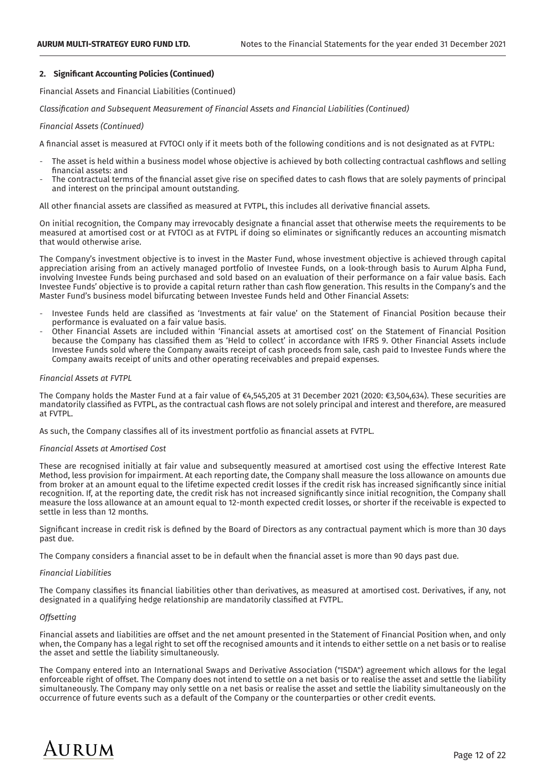# **2. Significant Accounting Policies (Continued)**

Financial Assets and Financial Liabilities (Continued)

*Classification and Subsequent Measurement of Financial Assets and Financial Liabilities (Continued)*

### *Financial Assets (Continued)*

A financial asset is measured at FVTOCI only if it meets both of the following conditions and is not designated as at FVTPL:

- The asset is held within a business model whose objective is achieved by both collecting contractual cashflows and selling financial assets: and
- The contractual terms of the financial asset give rise on specified dates to cash flows that are solely payments of principal and interest on the principal amount outstanding.

All other financial assets are classified as measured at FVTPL, this includes all derivative financial assets.

On initial recognition, the Company may irrevocably designate a financial asset that otherwise meets the requirements to be measured at amortised cost or at FVTOCI as at FVTPL if doing so eliminates or significantly reduces an accounting mismatch that would otherwise arise.

The Company's investment objective is to invest in the Master Fund, whose investment objective is achieved through capital appreciation arising from an actively managed portfolio of Investee Funds, on a look-through basis to Aurum Alpha Fund, involving Investee Funds being purchased and sold based on an evaluation of their performance on a fair value basis. Each Investee Funds' objective is to provide a capital return rather than cash flow generation. This results in the Company's and the Master Fund's business model bifurcating between Investee Funds held and Other Financial Assets:

- Investee Funds held are classified as 'Investments at fair value' on the Statement of Financial Position because their performance is evaluated on a fair value basis.
- Other Financial Assets are included within 'Financial assets at amortised cost' on the Statement of Financial Position because the Company has classified them as 'Held to collect' in accordance with IFRS 9. Other Financial Assets include Investee Funds sold where the Company awaits receipt of cash proceeds from sale, cash paid to Investee Funds where the Company awaits receipt of units and other operating receivables and prepaid expenses.

### *Financial Assets at FVTPL*

The Company holds the Master Fund at a fair value of €4,545,205 at 31 December 2021 (2020: €3,504,634). These securities are mandatorily classified as FVTPL, as the contractual cash flows are not solely principal and interest and therefore, are measured at FVTPL.

As such, the Company classifies all of its investment portfolio as financial assets at FVTPL.

#### *Financial Assets at Amortised Cost*

These are recognised initially at fair value and subsequently measured at amortised cost using the effective Interest Rate Method, less provision for impairment. At each reporting date, the Company shall measure the loss allowance on amounts due from broker at an amount equal to the lifetime expected credit losses if the credit risk has increased significantly since initial recognition. If, at the reporting date, the credit risk has not increased significantly since initial recognition, the Company shall measure the loss allowance at an amount equal to 12-month expected credit losses, or shorter if the receivable is expected to settle in less than 12 months.

Significant increase in credit risk is defined by the Board of Directors as any contractual payment which is more than 30 days past due.

The Company considers a financial asset to be in default when the financial asset is more than 90 days past due.

#### *Financial Liabilities*

The Company classifies its financial liabilities other than derivatives, as measured at amortised cost. Derivatives, if any, not designated in a qualifying hedge relationship are mandatorily classified at FVTPL.

# *Offsetting*

Financial assets and liabilities are offset and the net amount presented in the Statement of Financial Position when, and only when, the Company has a legal right to set off the recognised amounts and it intends to either settle on a net basis or to realise the asset and settle the liability simultaneously.

The Company entered into an International Swaps and Derivative Association ("ISDA") agreement which allows for the legal enforceable right of offset. The Company does not intend to settle on a net basis or to realise the asset and settle the liability simultaneously. The Company may only settle on a net basis or realise the asset and settle the liability simultaneously on the occurrence of future events such as a default of the Company or the counterparties or other credit events.

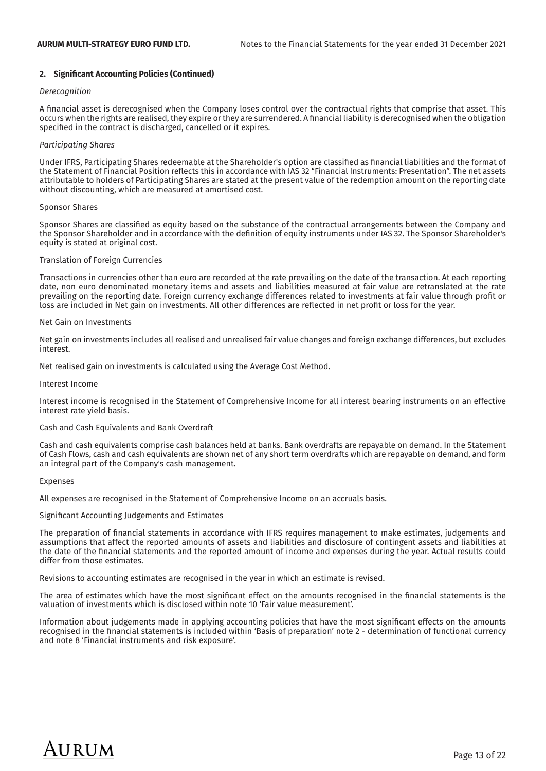### **2. Significant Accounting Policies (Continued)**

#### *Derecognition*

A financial asset is derecognised when the Company loses control over the contractual rights that comprise that asset. This occurs when the rights are realised, they expire or they are surrendered. A financial liability is derecognised when the obligation specified in the contract is discharged, cancelled or it expires.

#### *Participating Shares*

Under IFRS, Participating Shares redeemable at the Shareholder's option are classified as financial liabilities and the format of the Statement of Financial Position reflects this in accordance with IAS 32 "Financial Instruments: Presentation". The net assets attributable to holders of Participating Shares are stated at the present value of the redemption amount on the reporting date without discounting, which are measured at amortised cost.

#### Sponsor Shares

Sponsor Shares are classified as equity based on the substance of the contractual arrangements between the Company and the Sponsor Shareholder and in accordance with the definition of equity instruments under IAS 32. The Sponsor Shareholder's equity is stated at original cost.

### Translation of Foreign Currencies

Transactions in currencies other than euro are recorded at the rate prevailing on the date of the transaction. At each reporting date, non euro denominated monetary items and assets and liabilities measured at fair value are retranslated at the rate prevailing on the reporting date. Foreign currency exchange differences related to investments at fair value through profit or loss are included in Net gain on investments. All other differences are reflected in net profit or loss for the year.

### Net Gain on Investments

Net gain on investments includes all realised and unrealised fair value changes and foreign exchange differences, but excludes interest.

Net realised gain on investments is calculated using the Average Cost Method.

Interest Income

Interest income is recognised in the Statement of Comprehensive Income for all interest bearing instruments on an effective interest rate yield basis.

# Cash and Cash Equivalents and Bank Overdraft

Cash and cash equivalents comprise cash balances held at banks. Bank overdrafts are repayable on demand. In the Statement of Cash Flows, cash and cash equivalents are shown net of any short term overdrafts which are repayable on demand, and form an integral part of the Company's cash management.

#### Expenses

All expenses are recognised in the Statement of Comprehensive Income on an accruals basis.

Significant Accounting Judgements and Estimates

The preparation of financial statements in accordance with IFRS requires management to make estimates, judgements and assumptions that affect the reported amounts of assets and liabilities and disclosure of contingent assets and liabilities at the date of the financial statements and the reported amount of income and expenses during the year. Actual results could differ from those estimates.

Revisions to accounting estimates are recognised in the year in which an estimate is revised.

The area of estimates which have the most significant effect on the amounts recognised in the financial statements is the valuation of investments which is disclosed within note 10 'Fair value measurement'.

Information about judgements made in applying accounting policies that have the most significant effects on the amounts recognised in the financial statements is included within 'Basis of preparation' note 2 - determination of functional currency and note 8 'Financial instruments and risk exposure'.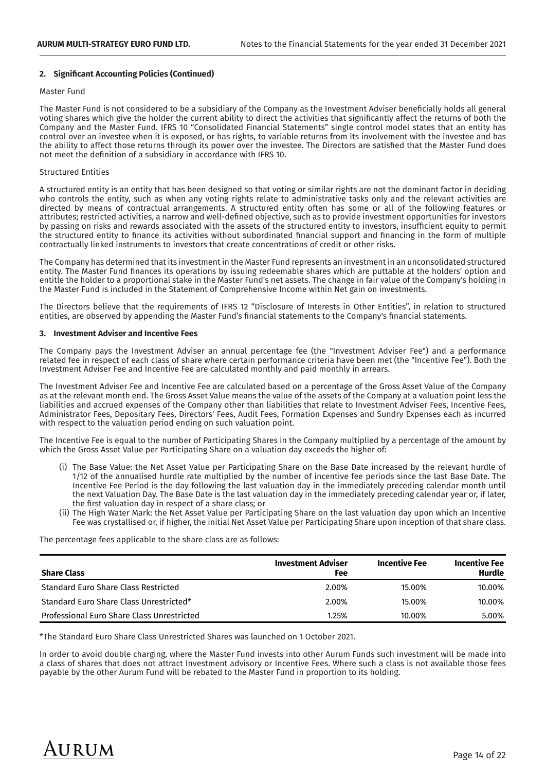### **2. Significant Accounting Policies (Continued)**

#### Master Fund

The Master Fund is not considered to be a subsidiary of the Company as the Investment Adviser beneficially holds all general voting shares which give the holder the current ability to direct the activities that significantly affect the returns of both the Company and the Master Fund. IFRS 10 "Consolidated Financial Statements" single control model states that an entity has control over an investee when it is exposed, or has rights, to variable returns from its involvement with the investee and has the ability to affect those returns through its power over the investee. The Directors are satisfied that the Master Fund does not meet the definition of a subsidiary in accordance with IFRS 10.

#### Structured Entities

A structured entity is an entity that has been designed so that voting or similar rights are not the dominant factor in deciding who controls the entity, such as when any voting rights relate to administrative tasks only and the relevant activities are directed by means of contractual arrangements. A structured entity often has some or all of the following features or attributes; restricted activities, a narrow and well-defined objective, such as to provide investment opportunities for investors by passing on risks and rewards associated with the assets of the structured entity to investors, insufficient equity to permit the structured entity to finance its activities without subordinated financial support and financing in the form of multiple contractually linked instruments to investors that create concentrations of credit or other risks.

The Company has determined that its investment in the Master Fund represents an investment in an unconsolidated structured entity. The Master Fund finances its operations by issuing redeemable shares which are puttable at the holders' option and entitle the holder to a proportional stake in the Master Fund's net assets. The change in fair value of the Company's holding in the Master Fund is included in the Statement of Comprehensive Income within Net gain on investments.

The Directors believe that the requirements of IFRS 12 "Disclosure of Interests in Other Entities", in relation to structured entities, are observed by appending the Master Fund's financial statements to the Company's financial statements.

#### **3. Investment Adviser and Incentive Fees**

The Company pays the Investment Adviser an annual percentage fee (the "Investment Adviser Fee") and a performance related fee in respect of each class of share where certain performance criteria have been met (the "Incentive Fee"). Both the Investment Adviser Fee and Incentive Fee are calculated monthly and paid monthly in arrears.

The Investment Adviser Fee and Incentive Fee are calculated based on a percentage of the Gross Asset Value of the Company as at the relevant month end. The Gross Asset Value means the value of the assets of the Company at a valuation point less the liabilities and accrued expenses of the Company other than liabilities that relate to Investment Adviser Fees, Incentive Fees, Administrator Fees, Depositary Fees, Directors' Fees, Audit Fees, Formation Expenses and Sundry Expenses each as incurred with respect to the valuation period ending on such valuation point.

The Incentive Fee is equal to the number of Participating Shares in the Company multiplied by a percentage of the amount by which the Gross Asset Value per Participating Share on a valuation day exceeds the higher of:

- (i) The Base Value: the Net Asset Value per Participating Share on the Base Date increased by the relevant hurdle of 1/12 of the annualised hurdle rate multiplied by the number of incentive fee periods since the last Base Date. The Incentive Fee Period is the day following the last valuation day in the immediately preceding calendar month until the next Valuation Day. The Base Date is the last valuation day in the immediately preceding calendar year or, if later, the first valuation day in respect of a share class; or
- (ii) The High Water Mark: the Net Asset Value per Participating Share on the last valuation day upon which an Incentive Fee was crystallised or, if higher, the initial Net Asset Value per Participating Share upon inception of that share class.

The percentage fees applicable to the share class are as follows:

| <b>Share Class</b>                         | <b>Investment Adviser</b><br>Fee | <b>Incentive Fee</b> | <b>Incentive Fee</b><br>Hurdle |
|--------------------------------------------|----------------------------------|----------------------|--------------------------------|
| Standard Euro Share Class Restricted       | 2.00%                            | 15.00%               | 10.00%                         |
| Standard Euro Share Class Unrestricted*    | 2.00%                            | 15.00%               | 10.00%                         |
| Professional Euro Share Class Unrestricted | 1.25%                            | 10.00%               | 5.00%                          |

\*The Standard Euro Share Class Unrestricted Shares was launched on 1 October 2021.

In order to avoid double charging, where the Master Fund invests into other Aurum Funds such investment will be made into a class of shares that does not attract Investment advisory or Incentive Fees. Where such a class is not available those fees payable by the other Aurum Fund will be rebated to the Master Fund in proportion to its holding.

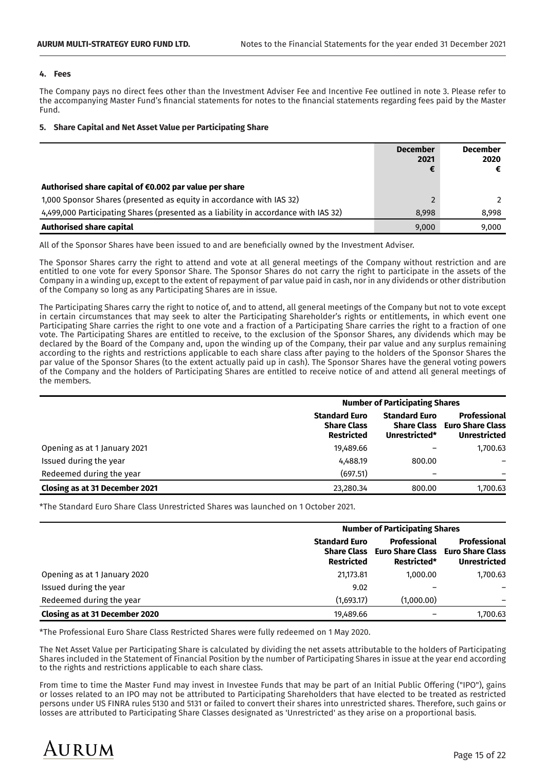#### **4. Fees**

The Company pays no direct fees other than the Investment Adviser Fee and Incentive Fee outlined in note 3. Please refer to the accompanying Master Fund's financial statements for notes to the financial statements regarding fees paid by the Master Fund.

# **5. Share Capital and Net Asset Value per Participating Share**

|                                                                                     | <b>December</b><br>2021 | <b>December</b><br>2020 |
|-------------------------------------------------------------------------------------|-------------------------|-------------------------|
| Authorised share capital of $\epsilon$ 0.002 par value per share                    |                         |                         |
| 1,000 Sponsor Shares (presented as equity in accordance with IAS 32)                |                         |                         |
| 4,499,000 Participating Shares (presented as a liability in accordance with IAS 32) | 8.998                   | 8.998                   |
| <b>Authorised share capital</b>                                                     | 9.000                   | 9.000                   |

All of the Sponsor Shares have been issued to and are beneficially owned by the Investment Adviser.

The Sponsor Shares carry the right to attend and vote at all general meetings of the Company without restriction and are entitled to one vote for every Sponsor Share. The Sponsor Shares do not carry the right to participate in the assets of the Company in a winding up, except to the extent of repayment of par value paid in cash, nor in any dividends or other distribution of the Company so long as any Participating Shares are in issue.

The Participating Shares carry the right to notice of, and to attend, all general meetings of the Company but not to vote except in certain circumstances that may seek to alter the Participating Shareholder's rights or entitlements, in which event one Participating Share carries the right to one vote and a fraction of a Participating Share carries the right to a fraction of one vote. The Participating Shares are entitled to receive, to the exclusion of the Sponsor Shares, any dividends which may be declared by the Board of the Company and, upon the winding up of the Company, their par value and any surplus remaining according to the rights and restrictions applicable to each share class after paying to the holders of the Sponsor Shares the par value of the Sponsor Shares (to the extent actually paid up in cash). The Sponsor Shares have the general voting powers of the Company and the holders of Participating Shares are entitled to receive notice of and attend all general meetings of the members.

|                                | <b>Number of Participating Shares</b>                           |                                                             |                                                         |  |  |
|--------------------------------|-----------------------------------------------------------------|-------------------------------------------------------------|---------------------------------------------------------|--|--|
|                                | <b>Standard Euro</b><br><b>Share Class</b><br><b>Restricted</b> | <b>Standard Euro</b><br><b>Share Class</b><br>Unrestricted* | Professional<br><b>Euro Share Class</b><br>Unrestricted |  |  |
| Opening as at 1 January 2021   | 19,489.66                                                       |                                                             | 1,700.63                                                |  |  |
| Issued during the year         | 4,488.19                                                        | 800.00                                                      |                                                         |  |  |
| Redeemed during the year       | (697.51)                                                        | -                                                           |                                                         |  |  |
| Closing as at 31 December 2021 | 23,280.34                                                       | 800.00                                                      | 1,700.63                                                |  |  |

٦ \*The Standard Euro Share Class Unrestricted Shares was launched on 1 October 2021.

|                                | <b>Number of Participating Shares</b> |                                                                                     |                                     |  |  |  |
|--------------------------------|---------------------------------------|-------------------------------------------------------------------------------------|-------------------------------------|--|--|--|
|                                | <b>Standard Euro</b><br>Restricted    | Professional<br><b>Share Class Euro Share Class Euro Share Class</b><br>Restricted* | Professional<br><b>Unrestricted</b> |  |  |  |
| Opening as at 1 January 2020   | 21,173.81                             | 1.000.00                                                                            | 1,700.63                            |  |  |  |
| Issued during the year         | 9.02                                  |                                                                                     |                                     |  |  |  |
| Redeemed during the year       | (1,693.17)                            | (1,000.00)                                                                          |                                     |  |  |  |
| Closing as at 31 December 2020 | 19.489.66                             |                                                                                     | 1.700.63                            |  |  |  |

\*The Professional Euro Share Class Restricted Shares were fully redeemed on 1 May 2020.

The Net Asset Value per Participating Share is calculated by dividing the net assets attributable to the holders of Participating Shares included in the Statement of Financial Position by the number of Participating Shares in issue at the year end according to the rights and restrictions applicable to each share class.

From time to time the Master Fund may invest in Investee Funds that may be part of an Initial Public Offering ("IPO"), gains or losses related to an IPO may not be attributed to Participating Shareholders that have elected to be treated as restricted persons under US FINRA rules 5130 and 5131 or failed to convert their shares into unrestricted shares. Therefore, such gains or losses are attributed to Participating Share Classes designated as 'Unrestricted' as they arise on a proportional basis.

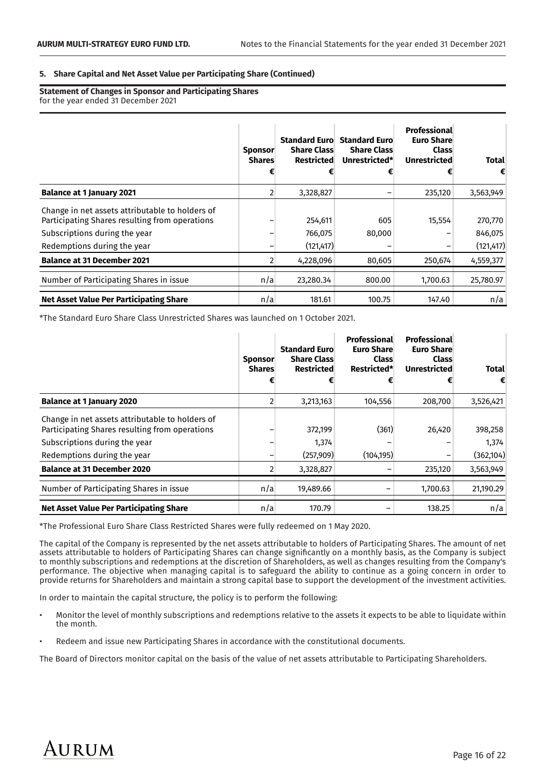# **5. Share Capital and Net Asset Value per Participating Share (Continued)**

**Statement of Changes in Sponsor and Participating Shares** for the year ended 31 December 2021

|                                                                                                   | <b>Sponsor</b><br><b>Shares</b> | <b>Share Class</b><br><b>Restricted</b> | <b>Standard Euro Standard Euro</b><br><b>Share Class</b><br>Unrestricted* | Professional<br><b>Euro Share</b><br><b>Class</b><br><b>Unrestricted</b> | Total<br>€ |
|---------------------------------------------------------------------------------------------------|---------------------------------|-----------------------------------------|---------------------------------------------------------------------------|--------------------------------------------------------------------------|------------|
| <b>Balance at 1 January 2021</b>                                                                  |                                 | 3,328,827                               |                                                                           | 235,120                                                                  | 3,563,949  |
| Change in net assets attributable to holders of<br>Participating Shares resulting from operations |                                 | 254,611                                 | 605                                                                       | 15,554                                                                   | 270,770    |
| Subscriptions during the year                                                                     |                                 | 766,075                                 | 80,000                                                                    |                                                                          | 846,075    |
| Redemptions during the year                                                                       |                                 | (121, 417)                              |                                                                           |                                                                          | (121, 417) |
| <b>Balance at 31 December 2021</b>                                                                |                                 | 4,228,096                               | 80,605                                                                    | 250,674                                                                  | 4,559,377  |
| Number of Participating Shares in issue                                                           | n/a                             | 23,280.34                               | 800.00                                                                    | 1,700.63                                                                 | 25,780.97  |
| <b>Net Asset Value Per Participating Share</b>                                                    | n/a                             | 181.61                                  | 100.75                                                                    | 147.40                                                                   | n/a        |

\*The Standard Euro Share Class Unrestricted Shares was launched on 1 October 2021.

|                                                                                                                                    | <b>Sponsor</b><br><b>Shares</b> | <b>Standard Euro</b><br><b>Share Class</b><br><b>Restricted</b> | <b>Professional</b><br><b>Euro Share</b><br><b>Class</b><br><b>Restricted*</b> | Professional<br><b>Euro Share</b><br><b>Class</b><br><b>Unrestricted</b> | <b>Total</b><br>€ |
|------------------------------------------------------------------------------------------------------------------------------------|---------------------------------|-----------------------------------------------------------------|--------------------------------------------------------------------------------|--------------------------------------------------------------------------|-------------------|
| <b>Balance at 1 January 2020</b>                                                                                                   |                                 | 3,213,163                                                       | 104,556                                                                        | 208,700                                                                  | 3,526,421         |
| Change in net assets attributable to holders of<br>Participating Shares resulting from operations<br>Subscriptions during the year |                                 | 372,199<br>1,374                                                | (361)                                                                          | 26,420                                                                   | 398,258<br>1,374  |
| Redemptions during the year                                                                                                        |                                 | (257,909)                                                       | (104, 195)                                                                     |                                                                          | (362, 104)        |
| <b>Balance at 31 December 2020</b>                                                                                                 |                                 | 3,328,827                                                       |                                                                                | 235,120                                                                  | 3,563,949         |
| Number of Participating Shares in issue                                                                                            | n/a                             | 19,489.66                                                       |                                                                                | 1,700.63                                                                 | 21,190.29         |
| <b>Net Asset Value Per Participating Share</b>                                                                                     | n/a                             | 170.79                                                          |                                                                                | 138.25                                                                   | n/a               |

\*The Professional Euro Share Class Restricted Shares were fully redeemed on 1 May 2020.

The capital of the Company is represented by the net assets attributable to holders of Participating Shares. The amount of net assets attributable to holders of Participating Shares can change significantly on a monthly basis, as the Company is subject to monthly subscriptions and redemptions at the discretion of Shareholders, as well as changes resulting from the Company's performance. The objective when managing capital is to safeguard the ability to continue as a going concern in order to provide returns for Shareholders and maintain a strong capital base to support the development of the investment activities.

In order to maintain the capital structure, the policy is to perform the following:

- Monitor the level of monthly subscriptions and redemptions relative to the assets it expects to be able to liquidate within the month.
- Redeem and issue new Participating Shares in accordance with the constitutional documents.

The Board of Directors monitor capital on the basis of the value of net assets attributable to Participating Shareholders.

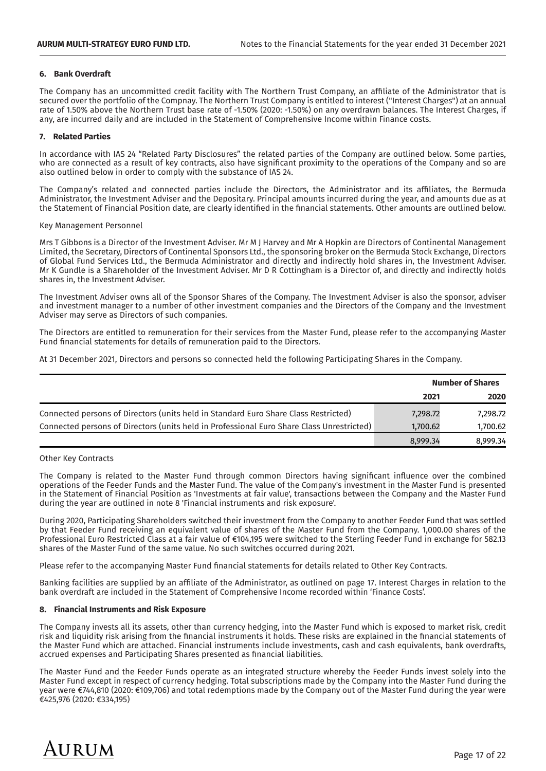# **6. Bank Overdraft**

The Company has an uncommitted credit facility with The Northern Trust Company, an affiliate of the Administrator that is secured over the portfolio of the Compnay. The Northern Trust Company is entitled to interest ("Interest Charges") at an annual rate of 1.50% above the Northern Trust base rate of -1.50% (2020: -1.50%) on any overdrawn balances. The Interest Charges, if any, are incurred daily and are included in the Statement of Comprehensive Income within Finance costs.

### **7. Related Parties**

In accordance with IAS 24 "Related Party Disclosures" the related parties of the Company are outlined below. Some parties, who are connected as a result of key contracts, also have significant proximity to the operations of the Company and so are also outlined below in order to comply with the substance of IAS 24.

The Company's related and connected parties include the Directors, the Administrator and its affiliates, the Bermuda Administrator, the Investment Adviser and the Depositary. Principal amounts incurred during the year, and amounts due as at the Statement of Financial Position date, are clearly identified in the financial statements. Other amounts are outlined below.

### Key Management Personnel

Mrs T Gibbons is a Director of the Investment Adviser. Mr M J Harvey and Mr A Hopkin are Directors of Continental Management Limited, the Secretary, Directors of Continental Sponsors Ltd., the sponsoring broker on the Bermuda Stock Exchange, Directors of Global Fund Services Ltd., the Bermuda Administrator and directly and indirectly hold shares in, the Investment Adviser. Mr K Gundle is a Shareholder of the Investment Adviser. Mr D R Cottingham is a Director of, and directly and indirectly holds shares in, the Investment Adviser.

The Investment Adviser owns all of the Sponsor Shares of the Company. The Investment Adviser is also the sponsor, adviser and investment manager to a number of other investment companies and the Directors of the Company and the Investment Adviser may serve as Directors of such companies.

The Directors are entitled to remuneration for their services from the Master Fund, please refer to the accompanying Master Fund financial statements for details of remuneration paid to the Directors.

At 31 December 2021, Directors and persons so connected held the following Participating Shares in the Company.

|                                                                                           |          | <b>Number of Shares</b> |
|-------------------------------------------------------------------------------------------|----------|-------------------------|
|                                                                                           | 2021     | 2020                    |
| Connected persons of Directors (units held in Standard Euro Share Class Restricted)       | 7,298.72 | 7.298.72                |
| Connected persons of Directors (units held in Professional Euro Share Class Unrestricted) | 1,700.62 | 1,700.62                |
|                                                                                           | 8.999.34 | 8.999.34                |

# Other Key Contracts

The Company is related to the Master Fund through common Directors having significant influence over the combined operations of the Feeder Funds and the Master Fund. The value of the Company's investment in the Master Fund is presented in the Statement of Financial Position as 'Investments at fair value', transactions between the Company and the Master Fund during the year are outlined in note 8 'Financial instruments and risk exposure'.

During 2020, Participating Shareholders switched their investment from the Company to another Feeder Fund that was settled by that Feeder Fund receiving an equivalent value of shares of the Master Fund from the Company. 1,000.00 shares of the Professional Euro Restricted Class at a fair value of €104,195 were switched to the Sterling Feeder Fund in exchange for 582.13 shares of the Master Fund of the same value. No such switches occurred during 2021.

Please refer to the accompanying Master Fund financial statements for details related to Other Key Contracts.

Banking facilities are supplied by an affiliate of the Administrator, as outlined on page 17. Interest Charges in relation to the bank overdraft are included in the Statement of Comprehensive Income recorded within 'Finance Costs'.

### **8. Financial Instruments and Risk Exposure**

The Company invests all its assets, other than currency hedging, into the Master Fund which is exposed to market risk, credit risk and liquidity risk arising from the financial instruments it holds. These risks are explained in the financial statements of the Master Fund which are attached. Financial instruments include investments, cash and cash equivalents, bank overdrafts, accrued expenses and Participating Shares presented as financial liabilities.

The Master Fund and the Feeder Funds operate as an integrated structure whereby the Feeder Funds invest solely into the Master Fund except in respect of currency hedging. Total subscriptions made by the Company into the Master Fund during the year were €744,810 (2020: €109,706) and total redemptions made by the Company out of the Master Fund during the year were €425,976 (2020: €334,195)

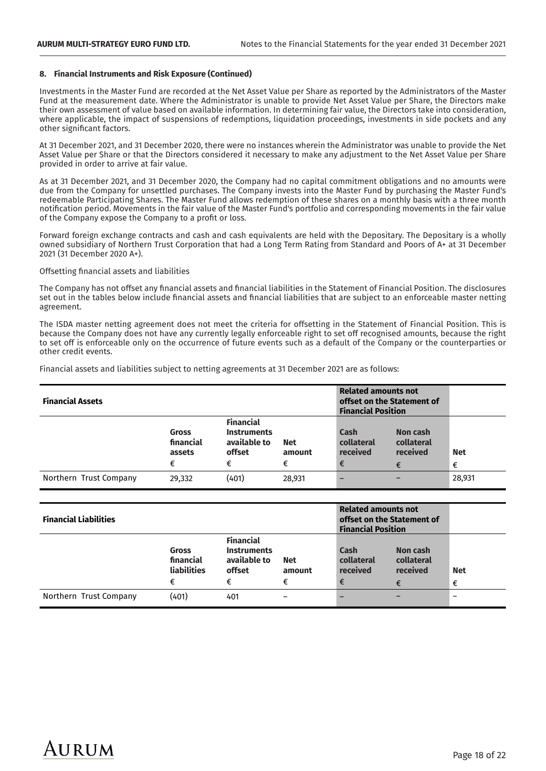### **8. Financial Instruments and Risk Exposure (Continued)**

Investments in the Master Fund are recorded at the Net Asset Value per Share as reported by the Administrators of the Master Fund at the measurement date. Where the Administrator is unable to provide Net Asset Value per Share, the Directors make their own assessment of value based on available information. In determining fair value, the Directors take into consideration, where applicable, the impact of suspensions of redemptions, liquidation proceedings, investments in side pockets and any other significant factors.

At 31 December 2021, and 31 December 2020, there were no instances wherein the Administrator was unable to provide the Net Asset Value per Share or that the Directors considered it necessary to make any adjustment to the Net Asset Value per Share provided in order to arrive at fair value.

As at 31 December 2021, and 31 December 2020, the Company had no capital commitment obligations and no amounts were due from the Company for unsettled purchases. The Company invests into the Master Fund by purchasing the Master Fund's redeemable Participating Shares. The Master Fund allows redemption of these shares on a monthly basis with a three month notification period. Movements in the fair value of the Master Fund's portfolio and corresponding movements in the fair value of the Company expose the Company to a profit or loss.

Forward foreign exchange contracts and cash and cash equivalents are held with the Depositary. The Depositary is a wholly owned subsidiary of Northern Trust Corporation that had a Long Term Rating from Standard and Poors of A+ at 31 December 2021 (31 December 2020 A+).

### Offsetting financial assets and liabilities

The Company has not offset any financial assets and financial liabilities in the Statement of Financial Position. The disclosures set out in the tables below include financial assets and financial liabilities that are subject to an enforceable master netting agreement.

The ISDA master netting agreement does not meet the criteria for offsetting in the Statement of Financial Position. This is because the Company does not have any currently legally enforceable right to set off recognised amounts, because the right to set off is enforceable only on the occurrence of future events such as a default of the Company or the counterparties or other credit events.

Financial assets and liabilities subject to netting agreements at 31 December 2021 are as follows:

| <b>Financial Assets</b> |                                     |                                                                  |                      | <b>Related amounts not</b><br>offset on the Statement of<br><b>Financial Position</b> |                                           |            |
|-------------------------|-------------------------------------|------------------------------------------------------------------|----------------------|---------------------------------------------------------------------------------------|-------------------------------------------|------------|
|                         | <b>Gross</b><br>financial<br>assets | <b>Financial</b><br><b>Instruments</b><br>available to<br>offset | <b>Net</b><br>amount | Cash<br>collateral<br>received                                                        | <b>Non cash</b><br>collateral<br>received | <b>Net</b> |
|                         | €                                   | €                                                                | €                    | €                                                                                     | €                                         | €          |
| Northern Trust Company  | 29,332                              | (401)                                                            | 28,931               |                                                                                       |                                           | 28,931     |

| <b>Financial Liabilities</b> |                                                      |                                                                       |                           | <b>Related amounts not</b><br>offset on the Statement of<br><b>Financial Position</b> |                                    |            |
|------------------------------|------------------------------------------------------|-----------------------------------------------------------------------|---------------------------|---------------------------------------------------------------------------------------|------------------------------------|------------|
|                              | <b>Gross</b><br>financial<br><b>liabilities</b><br>€ | <b>Financial</b><br><b>Instruments</b><br>available to<br>offset<br>€ | <b>Net</b><br>amount<br>€ | Cash<br>collateral<br>received<br>€                                                   | Non cash<br>collateral<br>received | <b>Net</b> |
|                              |                                                      |                                                                       |                           |                                                                                       | €                                  | €          |
| Northern Trust Company       | (401)                                                | 401                                                                   | -                         |                                                                                       | -                                  | -          |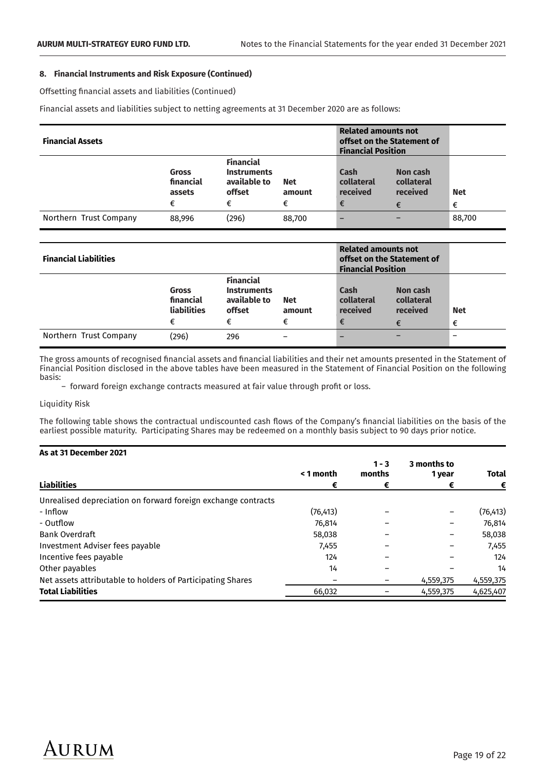# **8. Financial Instruments and Risk Exposure (Continued)**

Offsetting financial assets and liabilities (Continued)

Financial assets and liabilities subject to netting agreements at 31 December 2020 are as follows:

| <b>Financial Assets</b> |                                     |                                                                  |                      | <b>Related amounts not</b><br>offset on the Statement of<br><b>Financial Position</b> |                                    |            |
|-------------------------|-------------------------------------|------------------------------------------------------------------|----------------------|---------------------------------------------------------------------------------------|------------------------------------|------------|
|                         | <b>Gross</b><br>financial<br>assets | <b>Financial</b><br><b>Instruments</b><br>available to<br>offset | <b>Net</b><br>amount | Cash<br>collateral<br>received                                                        | Non cash<br>collateral<br>received | <b>Net</b> |
|                         | €                                   | €                                                                | €                    | €                                                                                     | €                                  | €          |
| Northern Trust Company  | 88,996                              | (296)                                                            | 88,700               |                                                                                       |                                    | 88,700     |

| <b>Financial Liabilities</b> |                                        |                                                                       |                           | <b>Related amounts not</b><br>offset on the Statement of<br><b>Financial Position</b> |                                         |                 |
|------------------------------|----------------------------------------|-----------------------------------------------------------------------|---------------------------|---------------------------------------------------------------------------------------|-----------------------------------------|-----------------|
|                              | Gross<br>financial<br>liabilities<br>€ | <b>Financial</b><br><b>Instruments</b><br>available to<br>offset<br>€ | <b>Net</b><br>amount<br>€ | Cash<br>collateral<br>received<br>€                                                   | Non cash<br>collateral<br>received<br>€ | <b>Net</b><br>€ |
| Northern Trust Company       | (296)                                  | 296                                                                   |                           |                                                                                       |                                         | -               |

The gross amounts of recognised financial assets and financial liabilities and their net amounts presented in the Statement of Financial Position disclosed in the above tables have been measured in the Statement of Financial Position on the following basis:

– forward foreign exchange contracts measured at fair value through profit or loss.

Liquidity Risk

The following table shows the contractual undiscounted cash flows of the Company's financial liabilities on the basis of the earliest possible maturity. Participating Shares may be redeemed on a monthly basis subject to 90 days prior notice.

# **As at 31 December 2021**

|                                                               | $<$ 1 month | $1 - 3$<br>months | 3 months to<br>1 year | <b>Total</b> |
|---------------------------------------------------------------|-------------|-------------------|-----------------------|--------------|
| <b>Liabilities</b>                                            | €           | €                 | €                     | €            |
| Unrealised depreciation on forward foreign exchange contracts |             |                   |                       |              |
| - Inflow                                                      | (76, 413)   |                   |                       | (76, 413)    |
| - Outflow                                                     | 76,814      |                   |                       | 76,814       |
| <b>Bank Overdraft</b>                                         | 58,038      |                   |                       | 58,038       |
| Investment Adviser fees payable                               | 7,455       |                   |                       | 7,455        |
| Incentive fees payable                                        | 124         |                   |                       | 124          |
| Other payables                                                | 14          |                   |                       | 14           |
| Net assets attributable to holders of Participating Shares    |             |                   | 4,559,375             | 4,559,375    |
| <b>Total Liabilities</b>                                      | 66,032      |                   | 4,559,375             | 4,625,407    |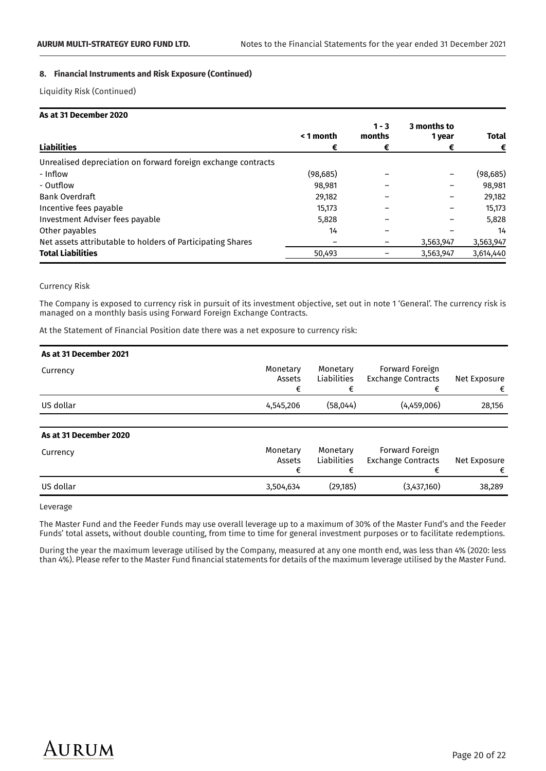# **8. Financial Instruments and Risk Exposure (Continued)**

Liquidity Risk (Continued)

| As at 31 December 2020                                        |           |                   |                       |              |
|---------------------------------------------------------------|-----------|-------------------|-----------------------|--------------|
|                                                               | < 1 month | $1 - 3$<br>months | 3 months to<br>1 year | <b>Total</b> |
| <b>Liabilities</b>                                            | €         | €                 | €                     | €            |
| Unrealised depreciation on forward foreign exchange contracts |           |                   |                       |              |
| - Inflow                                                      | (98, 685) |                   |                       | (98, 685)    |
| - Outflow                                                     | 98,981    |                   |                       | 98,981       |
| <b>Bank Overdraft</b>                                         | 29,182    |                   |                       | 29,182       |
| Incentive fees payable                                        | 15,173    |                   |                       | 15,173       |
| Investment Adviser fees payable                               | 5,828     |                   |                       | 5,828        |
| Other payables                                                | 14        |                   |                       | 14           |
| Net assets attributable to holders of Participating Shares    |           |                   | 3,563,947             | 3,563,947    |
| <b>Total Liabilities</b>                                      | 50,493    |                   | 3,563,947             | 3,614,440    |

# Currency Risk

The Company is exposed to currency risk in pursuit of its investment objective, set out in note 1 'General'. The currency risk is managed on a monthly basis using Forward Foreign Exchange Contracts.

At the Statement of Financial Position date there was a net exposure to currency risk:

| As at 31 December 2021 |                         |                              |                                                   |                   |
|------------------------|-------------------------|------------------------------|---------------------------------------------------|-------------------|
| Currency               | Monetary<br>Assets<br>€ | Monetary<br>Liabilities<br>€ | Forward Foreign<br><b>Exchange Contracts</b>      | Net Exposure<br>€ |
| US dollar              | 4,545,206               | (58,044)                     | (4,459,006)                                       | 28,156            |
|                        |                         |                              |                                                   |                   |
| As at 31 December 2020 |                         |                              |                                                   |                   |
| Currency               | Monetary<br>Assets<br>€ | Monetary<br>Liabilities<br>€ | Forward Foreign<br><b>Exchange Contracts</b><br>€ | Net Exposure<br>€ |
| US dollar              | 3,504,634               | (29, 185)                    | (3,437,160)                                       | 38,289            |

Leverage

The Master Fund and the Feeder Funds may use overall leverage up to a maximum of 30% of the Master Fund's and the Feeder Funds' total assets, without double counting, from time to time for general investment purposes or to facilitate redemptions.

During the year the maximum leverage utilised by the Company, measured at any one month end, was less than 4% (2020: less than 4%). Please refer to the Master Fund financial statements for details of the maximum leverage utilised by the Master Fund.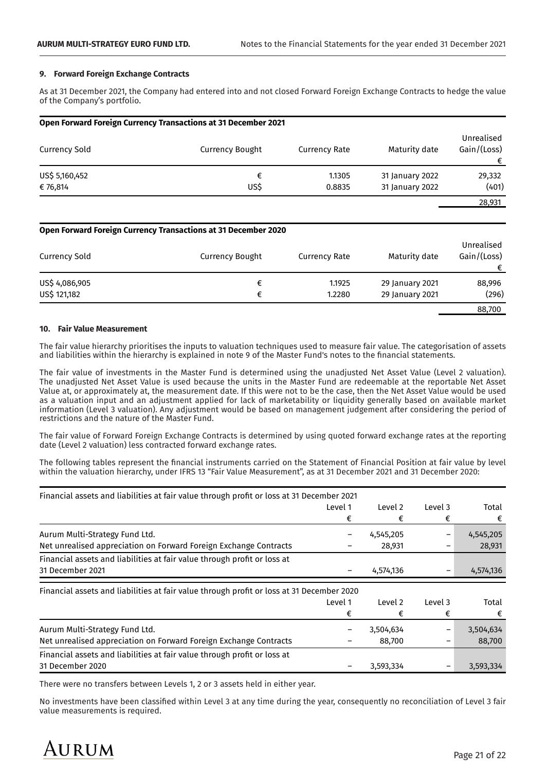# **9. Forward Foreign Exchange Contracts**

As at 31 December 2021, the Company had entered into and not closed Forward Foreign Exchange Contracts to hedge the value of the Company's portfolio.

|                | Open Forward Foreign Currency Transactions at 31 December 2021 |                      |                 |                           |
|----------------|----------------------------------------------------------------|----------------------|-----------------|---------------------------|
| Currency Sold  | <b>Currency Bought</b>                                         | <b>Currency Rate</b> | Maturity date   | Unrealised<br>Gain/(Loss) |
| US\$ 5,160,452 | €                                                              | 1.1305               | 31 January 2022 | 29,332                    |
| € 76,814       | US\$                                                           | 0.8835               | 31 January 2022 | (401)                     |
|                |                                                                |                      |                 | 28,931                    |

### **Open Forward Foreign Currency Transactions at 31 December 2020**

| <b>Currency Sold</b> | <b>Currency Bought</b> | <b>Currency Rate</b> | Maturity date   | Unrealised<br>Gain/(Loss)<br>€ |
|----------------------|------------------------|----------------------|-----------------|--------------------------------|
| US\$ 4,086,905       |                        | 1.1925               | 29 January 2021 | 88,996                         |
| US\$ 121,182         |                        | 1.2280               | 29 January 2021 | (296)                          |
|                      |                        |                      |                 | 88,700                         |

### **10. Fair Value Measurement**

The fair value hierarchy prioritises the inputs to valuation techniques used to measure fair value. The categorisation of assets and liabilities within the hierarchy is explained in note 9 of the Master Fund's notes to the financial statements.

The fair value of investments in the Master Fund is determined using the unadjusted Net Asset Value (Level 2 valuation). The unadjusted Net Asset Value is used because the units in the Master Fund are redeemable at the reportable Net Asset Value at, or approximately at, the measurement date. If this were not to be the case, then the Net Asset Value would be used as a valuation input and an adjustment applied for lack of marketability or liquidity generally based on available market information (Level 3 valuation). Any adjustment would be based on management judgement after considering the period of restrictions and the nature of the Master Fund.

The fair value of Forward Foreign Exchange Contracts is determined by using quoted forward exchange rates at the reporting date (Level 2 valuation) less contracted forward exchange rates.

The following tables represent the financial instruments carried on the Statement of Financial Position at fair value by level within the valuation hierarchy, under IFRS 13 "Fair Value Measurement", as at 31 December 2021 and 31 December 2020:

| Financial assets and liabilities at fair value through profit or loss at 31 December 2021 |         |           |         |           |  |
|-------------------------------------------------------------------------------------------|---------|-----------|---------|-----------|--|
|                                                                                           | Level 1 | Level 2   | Level 3 | Total     |  |
|                                                                                           | €       | €         | €       | €         |  |
| Aurum Multi-Strategy Fund Ltd.                                                            |         | 4,545,205 |         | 4,545,205 |  |
| Net unrealised appreciation on Forward Foreign Exchange Contracts                         |         | 28,931    |         | 28,931    |  |
| Financial assets and liabilities at fair value through profit or loss at                  |         |           |         |           |  |
| 31 December 2021                                                                          |         | 4,574,136 |         | 4,574,136 |  |
| Financial assets and liabilities at fair value through profit or loss at 31 December 2020 |         |           |         |           |  |
|                                                                                           | Level 1 | Level 2   | Level 3 | Total     |  |
|                                                                                           | €       | €         | €       |           |  |
|                                                                                           |         |           |         | €         |  |
| Aurum Multi-Strategy Fund Ltd.                                                            |         | 3,504,634 |         | 3,504,634 |  |
| Net unrealised appreciation on Forward Foreign Exchange Contracts                         |         | 88,700    |         | 88,700    |  |
| Financial assets and liabilities at fair value through profit or loss at                  |         |           |         |           |  |

There were no transfers between Levels 1, 2 or 3 assets held in either year.

No investments have been classified within Level 3 at any time during the year, consequently no reconciliation of Level 3 fair value measurements is required.